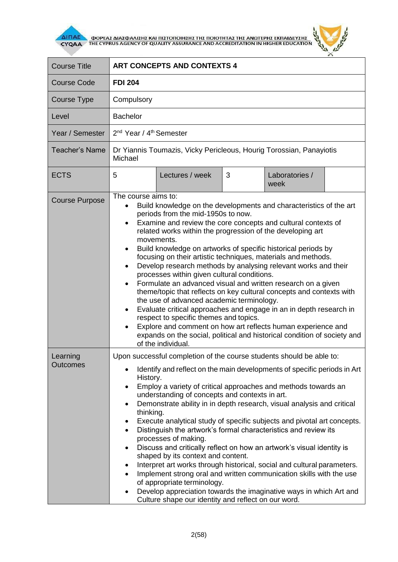

**AITIAE A OOPEAS AIAS DANISHS KAI TIISTOTOIHSHS THS TOIOTHTAS THE ANOTEPHS EKTIAIAEYSHS** 



| <b>Course Title</b>         | <b>ART CONCEPTS AND CONTEXTS 4</b>                                                                                                                                                                                                                                                                                                                                                                                                                                                                                                                                                                                                                                                                                                                                                                                                                                                                                                                                                                                                                              |
|-----------------------------|-----------------------------------------------------------------------------------------------------------------------------------------------------------------------------------------------------------------------------------------------------------------------------------------------------------------------------------------------------------------------------------------------------------------------------------------------------------------------------------------------------------------------------------------------------------------------------------------------------------------------------------------------------------------------------------------------------------------------------------------------------------------------------------------------------------------------------------------------------------------------------------------------------------------------------------------------------------------------------------------------------------------------------------------------------------------|
| <b>Course Code</b>          | <b>FDI 204</b>                                                                                                                                                                                                                                                                                                                                                                                                                                                                                                                                                                                                                                                                                                                                                                                                                                                                                                                                                                                                                                                  |
| Course Type                 | Compulsory                                                                                                                                                                                                                                                                                                                                                                                                                                                                                                                                                                                                                                                                                                                                                                                                                                                                                                                                                                                                                                                      |
| Level                       | <b>Bachelor</b>                                                                                                                                                                                                                                                                                                                                                                                                                                                                                                                                                                                                                                                                                                                                                                                                                                                                                                                                                                                                                                                 |
| Year / Semester             | 2 <sup>nd</sup> Year / 4 <sup>th</sup> Semester                                                                                                                                                                                                                                                                                                                                                                                                                                                                                                                                                                                                                                                                                                                                                                                                                                                                                                                                                                                                                 |
| <b>Teacher's Name</b>       | Dr Yiannis Toumazis, Vicky Pericleous, Hourig Torossian, Panayiotis<br>Michael                                                                                                                                                                                                                                                                                                                                                                                                                                                                                                                                                                                                                                                                                                                                                                                                                                                                                                                                                                                  |
| <b>ECTS</b>                 | Lectures / week<br>3<br>Laboratories /<br>5<br>week                                                                                                                                                                                                                                                                                                                                                                                                                                                                                                                                                                                                                                                                                                                                                                                                                                                                                                                                                                                                             |
| <b>Course Purpose</b>       | The course aims to:<br>Build knowledge on the developments and characteristics of the art<br>periods from the mid-1950s to now.<br>Examine and review the core concepts and cultural contexts of<br>$\bullet$<br>related works within the progression of the developing art<br>movements.<br>Build knowledge on artworks of specific historical periods by<br>٠<br>focusing on their artistic techniques, materials and methods.<br>Develop research methods by analysing relevant works and their<br>$\bullet$<br>processes within given cultural conditions.<br>Formulate an advanced visual and written research on a given<br>$\bullet$<br>theme/topic that reflects on key cultural concepts and contexts with<br>the use of advanced academic terminology.<br>Evaluate critical approaches and engage in an in depth research in<br>respect to specific themes and topics.<br>Explore and comment on how art reflects human experience and<br>$\bullet$<br>expands on the social, political and historical condition of society and<br>of the individual. |
| Learning<br><b>Outcomes</b> | Upon successful completion of the course students should be able to:<br>Identify and reflect on the main developments of specific periods in Art<br>History.<br>Employ a variety of critical approaches and methods towards an<br>$\bullet$<br>understanding of concepts and contexts in art.<br>Demonstrate ability in in depth research, visual analysis and critical<br>$\bullet$<br>thinking.<br>Execute analytical study of specific subjects and pivotal art concepts.<br>٠<br>Distinguish the artwork's formal characteristics and review its<br>$\bullet$<br>processes of making.<br>Discuss and critically reflect on how an artwork's visual identity is<br>$\bullet$<br>shaped by its context and content.<br>Interpret art works through historical, social and cultural parameters.<br>٠<br>Implement strong oral and written communication skills with the use<br>$\bullet$<br>of appropriate terminology.<br>Develop appreciation towards the imaginative ways in which Art and<br>Culture shape our identity and reflect on our word.           |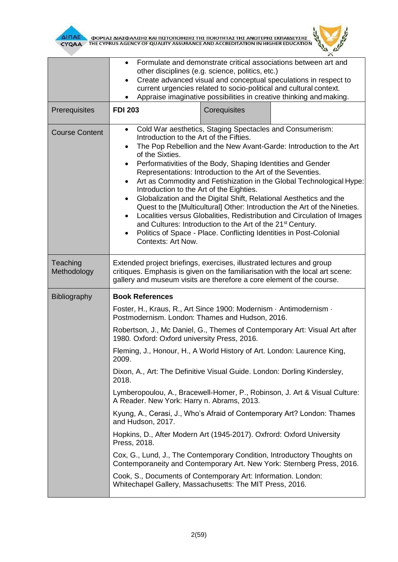

**AITIAE A OOPEAS AIAS DANISHS KAI TIISTOTOIHSHS THS TOIOTHTAS THE ANOTEPHS EKTIAIAEYSHS** 



|                         | Formulate and demonstrate critical associations between art and<br>other disciplines (e.g. science, politics, etc.)<br>Create advanced visual and conceptual speculations in respect to<br>$\bullet$<br>current urgencies related to socio-political and cultural context.<br>Appraise imaginative possibilities in creative thinking and making.<br>$\bullet$                                                                                                                                                                                                                                                                                                                                                                                                                                                                                                                                                                               |
|-------------------------|----------------------------------------------------------------------------------------------------------------------------------------------------------------------------------------------------------------------------------------------------------------------------------------------------------------------------------------------------------------------------------------------------------------------------------------------------------------------------------------------------------------------------------------------------------------------------------------------------------------------------------------------------------------------------------------------------------------------------------------------------------------------------------------------------------------------------------------------------------------------------------------------------------------------------------------------|
| Prerequisites           | <b>FDI 203</b><br>Corequisites                                                                                                                                                                                                                                                                                                                                                                                                                                                                                                                                                                                                                                                                                                                                                                                                                                                                                                               |
| <b>Course Content</b>   | Cold War aesthetics, Staging Spectacles and Consumerism:<br>$\bullet$<br>Introduction to the Art of the Fifties.<br>The Pop Rebellion and the New Avant-Garde: Introduction to the Art<br>$\bullet$<br>of the Sixties.<br>Performativities of the Body, Shaping Identities and Gender<br>$\bullet$<br>Representations: Introduction to the Art of the Seventies.<br>Art as Commodity and Fetishization in the Global Technological Hype:<br>$\bullet$<br>Introduction to the Art of the Eighties.<br>Globalization and the Digital Shift, Relational Aesthetics and the<br>$\bullet$<br>Quest to the [Multicultural] Other: Introduction the Art of the Nineties.<br>Localities versus Globalities, Redistribution and Circulation of Images<br>$\bullet$<br>and Cultures: Introduction to the Art of the 21 <sup>st</sup> Century.<br>Politics of Space - Place. Conflicting Identities in Post-Colonial<br>$\bullet$<br>Contexts: Art Now. |
| Teaching<br>Methodology | Extended project briefings, exercises, illustrated lectures and group<br>critiques. Emphasis is given on the familiarisation with the local art scene:<br>gallery and museum visits are therefore a core element of the course.                                                                                                                                                                                                                                                                                                                                                                                                                                                                                                                                                                                                                                                                                                              |
| Bibliography            | <b>Book References</b>                                                                                                                                                                                                                                                                                                                                                                                                                                                                                                                                                                                                                                                                                                                                                                                                                                                                                                                       |
|                         | Foster, H., Kraus, R., Art Since 1900: Modernism · Antimodernism ·<br>Postmodernism. London: Thames and Hudson, 2016.                                                                                                                                                                                                                                                                                                                                                                                                                                                                                                                                                                                                                                                                                                                                                                                                                        |
|                         | Robertson, J., Mc Daniel, G., Themes of Contemporary Art: Visual Art after<br>1980. Oxford: Oxford university Press, 2016.                                                                                                                                                                                                                                                                                                                                                                                                                                                                                                                                                                                                                                                                                                                                                                                                                   |
|                         | Fleming, J., Honour, H., A World History of Art. London: Laurence King,<br>2009.                                                                                                                                                                                                                                                                                                                                                                                                                                                                                                                                                                                                                                                                                                                                                                                                                                                             |
|                         | Dixon, A., Art: The Definitive Visual Guide. London: Dorling Kindersley,<br>2018.                                                                                                                                                                                                                                                                                                                                                                                                                                                                                                                                                                                                                                                                                                                                                                                                                                                            |
|                         | Lymberopoulou, A., Bracewell-Homer, P., Robinson, J. Art & Visual Culture:<br>A Reader. New York: Harry n. Abrams, 2013.                                                                                                                                                                                                                                                                                                                                                                                                                                                                                                                                                                                                                                                                                                                                                                                                                     |
|                         | Kyung, A., Cerasi, J., Who's Afraid of Contemporary Art? London: Thames<br>and Hudson, 2017.                                                                                                                                                                                                                                                                                                                                                                                                                                                                                                                                                                                                                                                                                                                                                                                                                                                 |
|                         | Hopkins, D., After Modern Art (1945-2017). Oxfrord: Oxford University<br>Press, 2018.                                                                                                                                                                                                                                                                                                                                                                                                                                                                                                                                                                                                                                                                                                                                                                                                                                                        |
|                         | Cox, G., Lund, J., The Contemporary Condition, Introductory Thoughts on<br>Contemporaneity and Contemporary Art. New York: Sternberg Press, 2016.                                                                                                                                                                                                                                                                                                                                                                                                                                                                                                                                                                                                                                                                                                                                                                                            |
|                         | Cook, S., Documents of Contemporary Art: Information. London:<br>Whitechapel Gallery, Massachusetts: The MIT Press, 2016.                                                                                                                                                                                                                                                                                                                                                                                                                                                                                                                                                                                                                                                                                                                                                                                                                    |